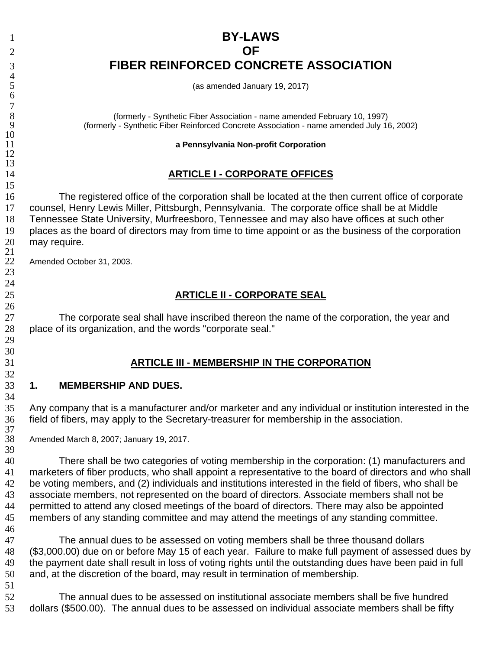# **BY-LAWS OF FIBER REINFORCED CONCRETE ASSOCIATION**

(as amended January 19, 2017)

(formerly - Synthetic Fiber Association - name amended February 10, 1997) (formerly - Synthetic Fiber Reinforced Concrete Association - name amended July 16, 2002)

**a Pennsylvania Non-profit Corporation**

#### **ARTICLE I - CORPORATE OFFICES**

The registered office of the corporation shall be located at the then current office of corporate counsel, Henry Lewis Miller, Pittsburgh, Pennsylvania. The corporate office shall be at Middle Tennessee State University, Murfreesboro, Tennessee and may also have offices at such other places as the board of directors may from time to time appoint or as the business of the corporation may require.

Amended October 31, 2003.

#### **ARTICLE II - CORPORATE SEAL**

The corporate seal shall have inscribed thereon the name of the corporation, the year and place of its organization, and the words "corporate seal."

#### **ARTICLE III - MEMBERSHIP IN THE CORPORATION**

#### **1. MEMBERSHIP AND DUES.**

Any company that is a manufacturer and/or marketer and any individual or institution interested in the field of fibers, may apply to the Secretary-treasurer for membership in the association.

Amended March 8, 2007; January 19, 2017.

There shall be two categories of voting membership in the corporation: (1) manufacturers and marketers of fiber products, who shall appoint a representative to the board of directors and who shall be voting members, and (2) individuals and institutions interested in the field of fibers, who shall be associate members, not represented on the board of directors. Associate members shall not be permitted to attend any closed meetings of the board of directors. There may also be appointed members of any standing committee and may attend the meetings of any standing committee.

The annual dues to be assessed on voting members shall be three thousand dollars (\$3,000.00) due on or before May 15 of each year. Failure to make full payment of assessed dues by the payment date shall result in loss of voting rights until the outstanding dues have been paid in full and, at the discretion of the board, may result in termination of membership.

The annual dues to be assessed on institutional associate members shall be five hundred dollars (\$500.00). The annual dues to be assessed on individual associate members shall be fifty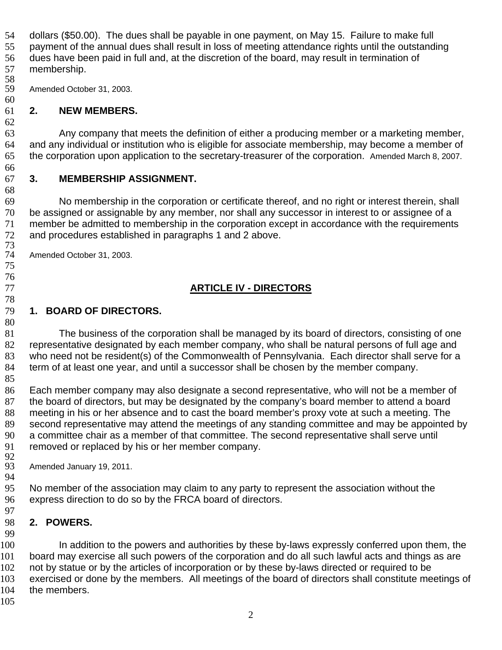dollars (\$50.00). The dues shall be payable in one payment, on May 15. Failure to make full payment of the annual dues shall result in loss of meeting attendance rights until the outstanding dues have been paid in full and, at the discretion of the board, may result in termination of membership.

58<br>59 Amended October 31, 2003.

#### **2. NEW MEMBERS.**

 

Any company that meets the definition of either a producing member or a marketing member, and any individual or institution who is eligible for associate membership, may become a member of the corporation upon application to the secretary-treasurer of the corporation. Amended March 8, 2007.

## **3. MEMBERSHIP ASSIGNMENT.**

No membership in the corporation or certificate thereof, and no right or interest therein, shall be assigned or assignable by any member, nor shall any successor in interest to or assignee of a member be admitted to membership in the corporation except in accordance with the requirements and procedures established in paragraphs 1 and 2 above.

Amended October 31, 2003.

# **ARTICLE IV - DIRECTORS**

## **1. BOARD OF DIRECTORS.**

The business of the corporation shall be managed by its board of directors, consisting of one representative designated by each member company, who shall be natural persons of full age and who need not be resident(s) of the Commonwealth of Pennsylvania. Each director shall serve for a term of at least one year, and until a successor shall be chosen by the member company.

 Each member company may also designate a second representative, who will not be a member of the board of directors, but may be designated by the company's board member to attend a board meeting in his or her absence and to cast the board member's proxy vote at such a meeting. The second representative may attend the meetings of any standing committee and may be appointed by a committee chair as a member of that committee. The second representative shall serve until removed or replaced by his or her member company.

92<br>93 Amended January 19, 2011.

 No member of the association may claim to any party to represent the association without the express direction to do so by the FRCA board of directors.

#### **2. POWERS.**

100 In addition to the powers and authorities by these by-laws expressly conferred upon them, the board may exercise all such powers of the corporation and do all such lawful acts and things as are 102 not by statue or by the articles of incorporation or by these by-laws directed or required to be 103 exercised or done by the members. All meetings of the board of directors shall constitute meetings of the members.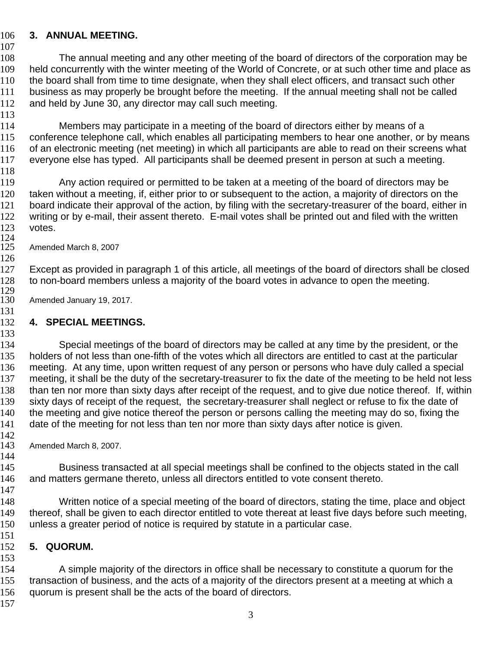### **3. ANNUAL MEETING.**

The annual meeting and any other meeting of the board of directors of the corporation may be held concurrently with the winter meeting of the World of Concrete, or at such other time and place as 110 the board shall from time to time designate, when they shall elect officers, and transact such other business as may properly be brought before the meeting. If the annual meeting shall not be called and held by June 30, any director may call such meeting.

Members may participate in a meeting of the board of directors either by means of a conference telephone call, which enables all participating members to hear one another, or by means of an electronic meeting (net meeting) in which all participants are able to read on their screens what everyone else has typed. All participants shall be deemed present in person at such a meeting. 

Any action required or permitted to be taken at a meeting of the board of directors may be taken without a meeting, if, either prior to or subsequent to the action, a majority of directors on the board indicate their approval of the action, by filing with the secretary-treasurer of the board, either in writing or by e-mail, their assent thereto. E-mail votes shall be printed out and filed with the written votes.

124<br>125 Amended March 8, 2007

 Except as provided in paragraph 1 of this article, all meetings of the board of directors shall be closed to non-board members unless a majority of the board votes in advance to open the meeting.

129<br>130 Amended January 19, 2017. 

## **4. SPECIAL MEETINGS.**

134 Special meetings of the board of directors may be called at any time by the president, or the 135 holders of not less than one-fifth of the votes which all directors are entitled to cast at the particular meeting. At any time, upon written request of any person or persons who have duly called a special 137 meeting, it shall be the duty of the secretary-treasurer to fix the date of the meeting to be held not less than ten nor more than sixty days after receipt of the request, and to give due notice thereof. If, within sixty days of receipt of the request, the secretary-treasurer shall neglect or refuse to fix the date of 140 the meeting and give notice thereof the person or persons calling the meeting may do so, fixing the 141 date of the meeting for not less than ten nor more than sixty days after notice is given.

142<br>143 Amended March 8, 2007.

 145 Business transacted at all special meetings shall be confined to the objects stated in the call and matters germane thereto, unless all directors entitled to vote consent thereto.

 Written notice of a special meeting of the board of directors, stating the time, place and object thereof, shall be given to each director entitled to vote thereat at least five days before such meeting, unless a greater period of notice is required by statute in a particular case.

### **5. QUORUM.**

A simple majority of the directors in office shall be necessary to constitute a quorum for the 155 transaction of business, and the acts of a majority of the directors present at a meeting at which a quorum is present shall be the acts of the board of directors.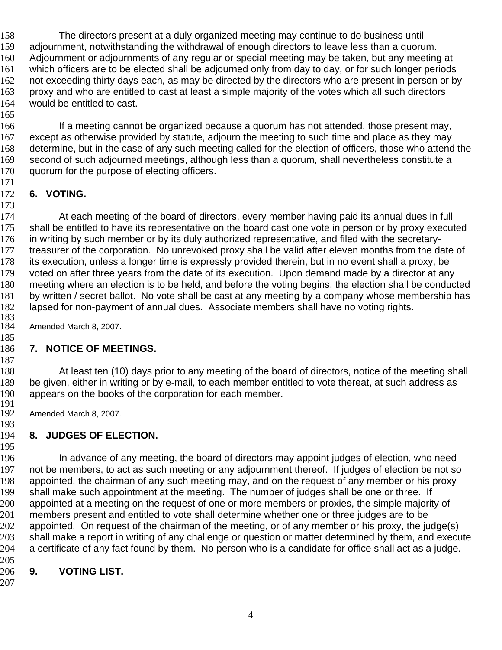The directors present at a duly organized meeting may continue to do business until adjournment, notwithstanding the withdrawal of enough directors to leave less than a quorum. Adjournment or adjournments of any regular or special meeting may be taken, but any meeting at which officers are to be elected shall be adjourned only from day to day, or for such longer periods 162 not exceeding thirty days each, as may be directed by the directors who are present in person or by proxy and who are entitled to cast at least a simple majority of the votes which all such directors would be entitled to cast.

166 If a meeting cannot be organized because a quorum has not attended, those present may, except as otherwise provided by statute, adjourn the meeting to such time and place as they may determine, but in the case of any such meeting called for the election of officers, those who attend the second of such adjourned meetings, although less than a quorum, shall nevertheless constitute a 170 quorum for the purpose of electing officers.

### **6. VOTING.**

 At each meeting of the board of directors, every member having paid its annual dues in full 175 shall be entitled to have its representative on the board cast one vote in person or by proxy executed in writing by such member or by its duly authorized representative, and filed with the secretary-177 treasurer of the corporation. No unrevoked proxy shall be valid after eleven months from the date of its execution, unless a longer time is expressly provided therein, but in no event shall a proxy, be voted on after three years from the date of its execution. Upon demand made by a director at any meeting where an election is to be held, and before the voting begins, the election shall be conducted by written / secret ballot. No vote shall be cast at any meeting by a company whose membership has lapsed for non-payment of annual dues. Associate members shall have no voting rights. 

Amended March 8, 2007. 

### **7. NOTICE OF MEETINGS.**

188 At least ten (10) days prior to any meeting of the board of directors, notice of the meeting shall be given, either in writing or by e-mail, to each member entitled to vote thereat, at such address as appears on the books of the corporation for each member.

191<br>192 Amended March 8, 2007.

# 

## **8. JUDGES OF ELECTION.**

In advance of any meeting, the board of directors may appoint judges of election, who need not be members, to act as such meeting or any adjournment thereof. If judges of election be not so appointed, the chairman of any such meeting may, and on the request of any member or his proxy shall make such appointment at the meeting. The number of judges shall be one or three. If 200 appointed at a meeting on the request of one or more members or proxies, the simple majority of 201 members present and entitled to vote shall determine whether one or three judges are to be appointed. On request of the chairman of the meeting, or of any member or his proxy, the judge(s) shall make a report in writing of any challenge or question or matter determined by them, and execute a certificate of any fact found by them. No person who is a candidate for office shall act as a judge. 

### **9. VOTING LIST.**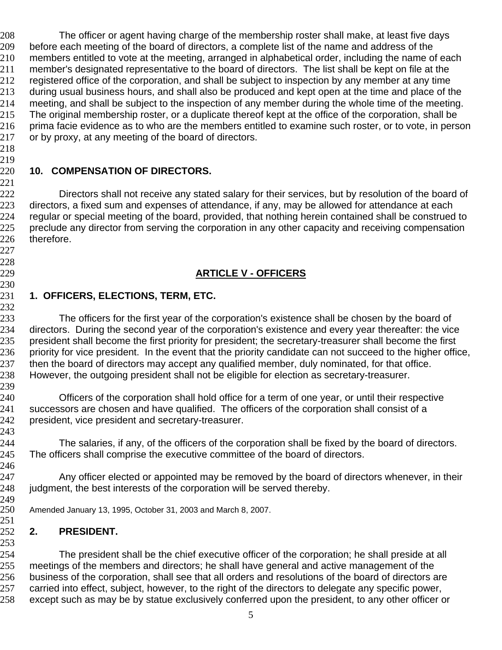The officer or agent having charge of the membership roster shall make, at least five days before each meeting of the board of directors, a complete list of the name and address of the members entitled to vote at the meeting, arranged in alphabetical order, including the name of each member's designated representative to the board of directors. The list shall be kept on file at the registered office of the corporation, and shall be subject to inspection by any member at any time 213 during usual business hours, and shall also be produced and kept open at the time and place of the meeting, and shall be subject to the inspection of any member during the whole time of the meeting. 215 The original membership roster, or a duplicate thereof kept at the office of the corporation, shall be prima facie evidence as to who are the members entitled to examine such roster, or to vote, in person 217 or by proxy, at any meeting of the board of directors.

 

 

#### **10. COMPENSATION OF DIRECTORS.**

Directors shall not receive any stated salary for their services, but by resolution of the board of 223 directors, a fixed sum and expenses of attendance, if any, may be allowed for attendance at each regular or special meeting of the board, provided, that nothing herein contained shall be construed to 225 preclude any director from serving the corporation in any other capacity and receiving compensation therefore.

### **ARTICLE V - OFFICERS**

#### **1. OFFICERS, ELECTIONS, TERM, ETC.**

The officers for the first year of the corporation's existence shall be chosen by the board of directors. During the second year of the corporation's existence and every year thereafter: the vice 235 president shall become the first priority for president; the secretary-treasurer shall become the first 236 priority for vice president. In the event that the priority candidate can not succeed to the higher office, 237 then the board of directors may accept any qualified member, duly nominated, for that office. However, the outgoing president shall not be eligible for election as secretary-treasurer.

Officers of the corporation shall hold office for a term of one year, or until their respective successors are chosen and have qualified. The officers of the corporation shall consist of a president, vice president and secretary-treasurer.

 The salaries, if any, of the officers of the corporation shall be fixed by the board of directors. 245 The officers shall comprise the executive committee of the board of directors.

Any officer elected or appointed may be removed by the board of directors whenever, in their 248 judgment, the best interests of the corporation will be served thereby.

249<br>250 Amended January 13, 1995, October 31, 2003 and March 8, 2007.

#### **2. PRESIDENT.**

The president shall be the chief executive officer of the corporation; he shall preside at all meetings of the members and directors; he shall have general and active management of the business of the corporation, shall see that all orders and resolutions of the board of directors are 257 carried into effect, subject, however, to the right of the directors to delegate any specific power, except such as may be by statue exclusively conferred upon the president, to any other officer or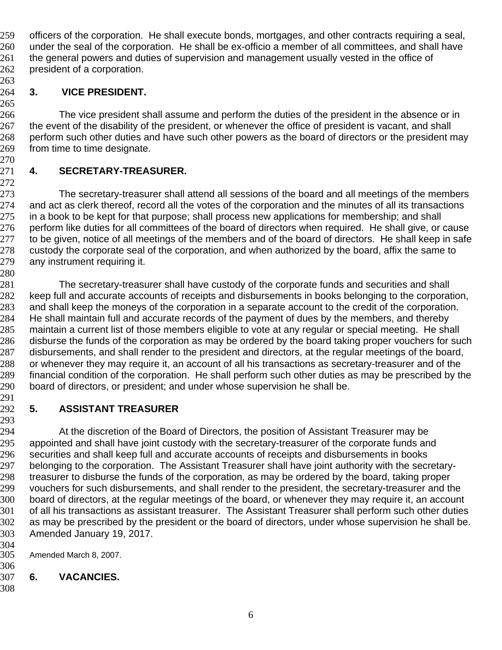officers of the corporation. He shall execute bonds, mortgages, and other contracts requiring a seal, under the seal of the corporation. He shall be ex-officio a member of all committees, and shall have 261 the general powers and duties of supervision and management usually vested in the office of 262 president of a corporation.

#### **3. VICE PRESIDENT.**

The vice president shall assume and perform the duties of the president in the absence or in 267 the event of the disability of the president, or whenever the office of president is vacant, and shall 268 perform such other duties and have such other powers as the board of directors or the president may from time to time designate.

## **4. SECRETARY-TREASURER.**

 The secretary-treasurer shall attend all sessions of the board and all meetings of the members and act as clerk thereof, record all the votes of the corporation and the minutes of all its transactions 275 in a book to be kept for that purpose; shall process new applications for membership; and shall 276 perform like duties for all committees of the board of directors when required. He shall give, or cause 277 to be given, notice of all meetings of the members and of the board of directors. He shall keep in safe<br>278 custody the corporate seal of the corporation, and when authorized by the board, affix the same to custody the corporate seal of the corporation, and when authorized by the board, affix the same to any instrument requiring it.

The secretary-treasurer shall have custody of the corporate funds and securities and shall keep full and accurate accounts of receipts and disbursements in books belonging to the corporation, 283 and shall keep the moneys of the corporation in a separate account to the credit of the corporation. He shall maintain full and accurate records of the payment of dues by the members, and thereby maintain a current list of those members eligible to vote at any regular or special meeting. He shall disburse the funds of the corporation as may be ordered by the board taking proper vouchers for such disbursements, and shall render to the president and directors, at the regular meetings of the board, 288 or whenever they may require it, an account of all his transactions as secretary-treasurer and of the financial condition of the corporation. He shall perform such other duties as may be prescribed by the board of directors, or president; and under whose supervision he shall be.

#### **5. ASSISTANT TREASURER**

At the discretion of the Board of Directors, the position of Assistant Treasurer may be 295 appointed and shall have joint custody with the secretary-treasurer of the corporate funds and securities and shall keep full and accurate accounts of receipts and disbursements in books belonging to the corporation. The Assistant Treasurer shall have joint authority with the secretary-treasurer to disburse the funds of the corporation, as may be ordered by the board, taking proper vouchers for such disbursements, and shall render to the president, the secretary-treasurer and the board of directors, at the regular meetings of the board, or whenever they may require it, an account of all his transactions as assistant treasurer. The Assistant Treasurer shall perform such other duties as may be prescribed by the president or the board of directors, under whose supervision he shall be. Amended January 19, 2017.

 Amended March 8, 2007.

- 
- **6. VACANCIES.**
-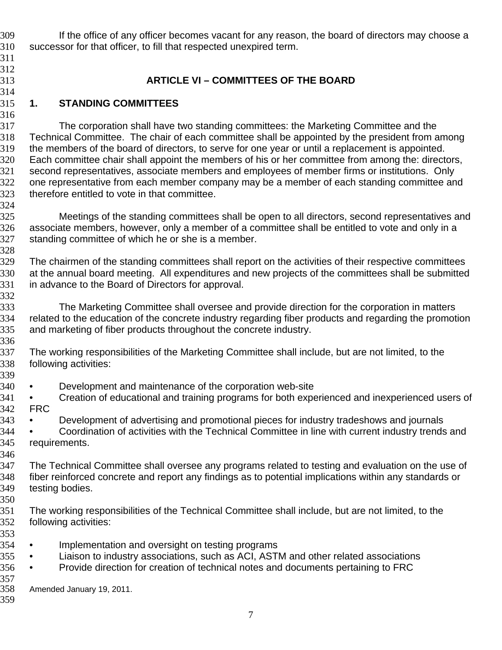If the office of any officer becomes vacant for any reason, the board of directors may choose a successor for that officer, to fill that respected unexpired term. **ARTICLE VI – COMMITTEES OF THE BOARD 1. STANDING COMMITTEES**  The corporation shall have two standing committees: the Marketing Committee and the Technical Committee. The chair of each committee shall be appointed by the president from among the members of the board of directors, to serve for one year or until a replacement is appointed. Each committee chair shall appoint the members of his or her committee from among the: directors, second representatives, associate members and employees of member firms or institutions. Only 322 one representative from each member company may be a member of each standing committee and therefore entitled to vote in that committee. 325 Meetings of the standing committees shall be open to all directors, second representatives and associate members, however, only a member of a committee shall be entitled to vote and only in a standing committee of which he or she is a member. The chairmen of the standing committees shall report on the activities of their respective committees at the annual board meeting. All expenditures and new projects of the committees shall be submitted in advance to the Board of Directors for approval. The Marketing Committee shall oversee and provide direction for the corporation in matters related to the education of the concrete industry regarding fiber products and regarding the promotion and marketing of fiber products throughout the concrete industry. The working responsibilities of the Marketing Committee shall include, but are not limited, to the following activities: • Development and maintenance of the corporation web-site • Creation of educational and training programs for both experienced and inexperienced users of FRC • Development of advertising and promotional pieces for industry tradeshows and journals • Coordination of activities with the Technical Committee in line with current industry trends and requirements. The Technical Committee shall oversee any programs related to testing and evaluation on the use of fiber reinforced concrete and report any findings as to potential implications within any standards or testing bodies. The working responsibilities of the Technical Committee shall include, but are not limited, to the following activities: • Implementation and oversight on testing programs • Liaison to industry associations, such as ACI, ASTM and other related associations 356 • Provide direction for creation of technical notes and documents pertaining to FRC 357<br>358 Amended January 19, 2011.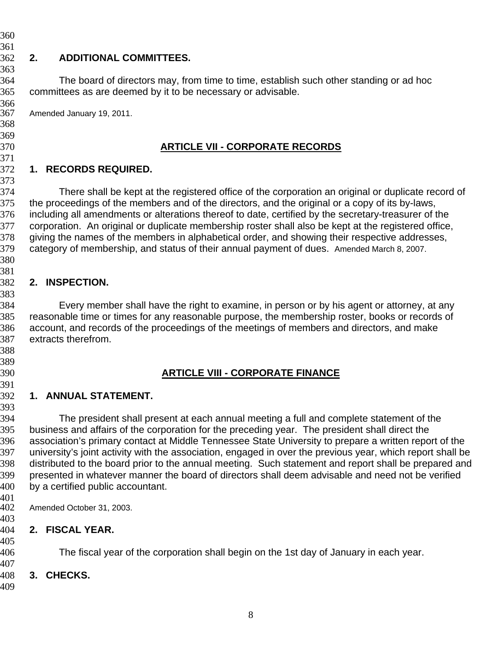**2. ADDITIONAL COMMITTEES.**  The board of directors may, from time to time, establish such other standing or ad hoc committees as are deemed by it to be necessary or advisable. 366<br>367 Amended January 19, 2011. **ARTICLE VII - CORPORATE RECORDS 1. RECORDS REQUIRED.**  There shall be kept at the registered office of the corporation an original or duplicate record of the proceedings of the members and of the directors, and the original or a copy of its by-laws, including all amendments or alterations thereof to date, certified by the secretary-treasurer of the corporation. An original or duplicate membership roster shall also be kept at the registered office, giving the names of the members in alphabetical order, and showing their respective addresses, category of membership, and status of their annual payment of dues. Amended March 8, 2007. **2. INSPECTION.**  Every member shall have the right to examine, in person or by his agent or attorney, at any reasonable time or times for any reasonable purpose, the membership roster, books or records of account, and records of the proceedings of the meetings of members and directors, and make extracts therefrom. **ARTICLE VIII - CORPORATE FINANCE 1. ANNUAL STATEMENT.**  The president shall present at each annual meeting a full and complete statement of the business and affairs of the corporation for the preceding year. The president shall direct the association's primary contact at Middle Tennessee State University to prepare a written report of the university's joint activity with the association, engaged in over the previous year, which report shall be distributed to the board prior to the annual meeting. Such statement and report shall be prepared and presented in whatever manner the board of directors shall deem advisable and need not be verified by a certified public accountant. Amended October 31, 2003. **2. FISCAL YEAR.** The fiscal year of the corporation shall begin on the 1st day of January in each year. **3. CHECKS.**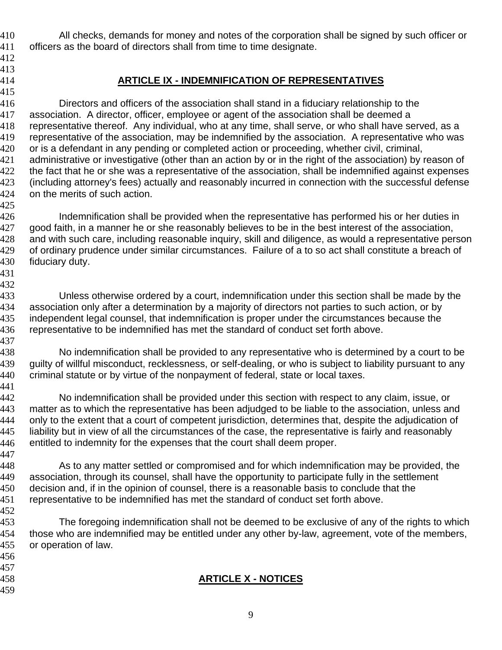All checks, demands for money and notes of the corporation shall be signed by such officer or officers as the board of directors shall from time to time designate.

- 
- 

## **ARTICLE IX - INDEMNIFICATION OF REPRESENTATIVES**

Directors and officers of the association shall stand in a fiduciary relationship to the association. A director, officer, employee or agent of the association shall be deemed a representative thereof. Any individual, who at any time, shall serve, or who shall have served, as a representative of the association, may be indemnified by the association. A representative who was or is a defendant in any pending or completed action or proceeding, whether civil, criminal, administrative or investigative (other than an action by or in the right of the association) by reason of 422 the fact that he or she was a representative of the association, shall be indemnified against expenses (including attorney's fees) actually and reasonably incurred in connection with the successful defense on the merits of such action. 

Indemnification shall be provided when the representative has performed his or her duties in 427 good faith, in a manner he or she reasonably believes to be in the best interest of the association, and with such care, including reasonable inquiry, skill and diligence, as would a representative person of ordinary prudence under similar circumstances. Failure of a to so act shall constitute a breach of fiduciary duty.

 

Unless otherwise ordered by a court, indemnification under this section shall be made by the association only after a determination by a majority of directors not parties to such action, or by independent legal counsel, that indemnification is proper under the circumstances because the representative to be indemnified has met the standard of conduct set forth above.

No indemnification shall be provided to any representative who is determined by a court to be 439 guilty of willful misconduct, recklessness, or self-dealing, or who is subject to liability pursuant to any criminal statute or by virtue of the nonpayment of federal, state or local taxes. 

No indemnification shall be provided under this section with respect to any claim, issue, or matter as to which the representative has been adjudged to be liable to the association, unless and only to the extent that a court of competent jurisdiction, determines that, despite the adjudication of liability but in view of all the circumstances of the case, the representative is fairly and reasonably entitled to indemnity for the expenses that the court shall deem proper.

As to any matter settled or compromised and for which indemnification may be provided, the association, through its counsel, shall have the opportunity to participate fully in the settlement decision and, if in the opinion of counsel, there is a reasonable basis to conclude that the representative to be indemnified has met the standard of conduct set forth above.

The foregoing indemnification shall not be deemed to be exclusive of any of the rights to which those who are indemnified may be entitled under any other by-law, agreement, vote of the members, or operation of law.

- 
- 
- 

## **ARTICLE X - NOTICES**